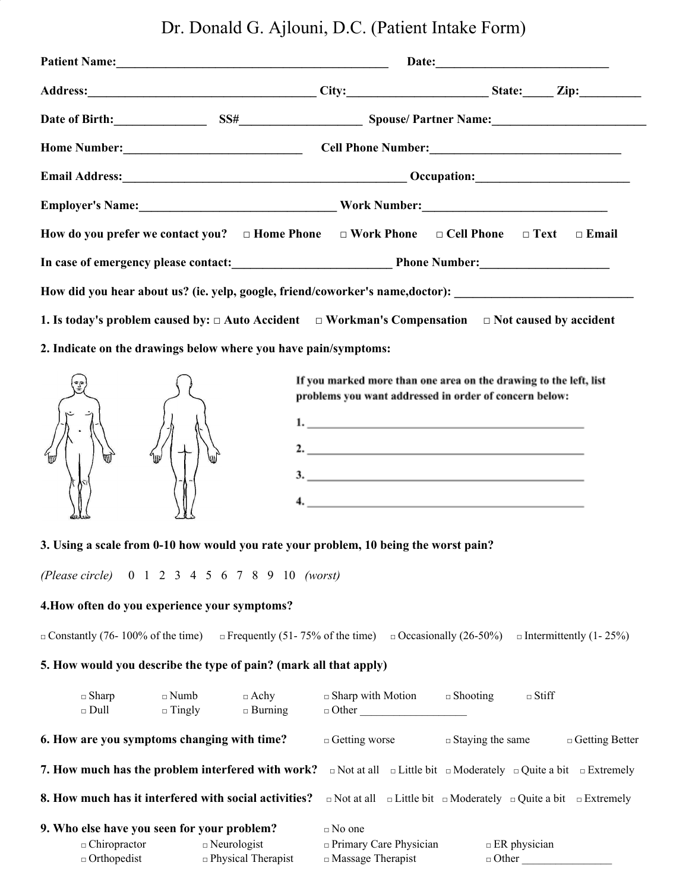Dr. Donald G. Ajlouni, D.C. (Patient Intake Form)

|                                                                                                     | Date of Birth: SS# SS# Spouse/Partner Name:                                                                       |
|-----------------------------------------------------------------------------------------------------|-------------------------------------------------------------------------------------------------------------------|
|                                                                                                     |                                                                                                                   |
|                                                                                                     |                                                                                                                   |
|                                                                                                     | Employer's Name: Manual Manual Mork Number: Mork Number: Manual Manual Manual Manual Manual Manual Manual Manu    |
| How do you prefer we contact you? $\Box$ Home Phone $\Box$ Work Phone $\Box$ Cell Phone $\Box$ Text | $\Box$ Email                                                                                                      |
|                                                                                                     | In case of emergency please contact: Phone Number:                                                                |
|                                                                                                     | How did you hear about us? (ie. yelp, google, friend/coworker's name,doctor): ________________________________    |
|                                                                                                     | 1. Is today's problem caused by: $\Box$ Auto Accident $\Box$ Workman's Compensation $\Box$ Not caused by accident |
| 2. Indicate on the drawings below where you have pain/symptoms:                                     |                                                                                                                   |



If you marked more than one area on the drawing to the left, list problems you want addressed in order of concern below:

| 1.                 |
|--------------------|
| 2. $\qquad \qquad$ |
| 3.                 |
|                    |
| $\overline{4}$ .   |

### **3. Using a scale from 0-10 how would you rate your problem, 10 being the worst pain?**

*(Please circle)* 0 1 2 3 4 5 6 7 8 9 10 *(worst)*

#### **4.How often do you experience your symptoms?**

□ Constantly (76- 100% of the time) □ Frequently (51- 75% of the time) □ Occasionally (26-50%) □ Intermittently (1- 25%)

# **5. How would you describe the type of pain? (mark all that apply)**

| $\square$ Sharp<br>$\Box$ Dull                                                           | $\Box$ Numb<br>$\Box$ Tingly | $\Box$ Achy<br>$\Box$ Burning                                                                                                                      | $\Box$ Sharp with Motion<br>$\Box$ Other                                   | $\Box$ Shooting                                                          | $\Box$ Stiff        |                       |
|------------------------------------------------------------------------------------------|------------------------------|----------------------------------------------------------------------------------------------------------------------------------------------------|----------------------------------------------------------------------------|--------------------------------------------------------------------------|---------------------|-----------------------|
| 6. How are you symptoms changing with time?                                              |                              |                                                                                                                                                    | $\Box$ Getting worse                                                       | $\Box$ Staying the same                                                  |                     | $\Box$ Getting Better |
|                                                                                          |                              | <b>7. How much has the problem interfered with work?</b> $\Box$ Not at all $\Box$ Little bit $\Box$ Moderately $\Box$ Quite a bit $\Box$ Extremely |                                                                            |                                                                          |                     |                       |
| 8. How much has it interfered with social activities?                                    |                              |                                                                                                                                                    |                                                                            | $\Box$ Not at all $\Box$ Little bit $\Box$ Moderately $\Box$ Quite a bit |                     | $\Box$ Extremely      |
| 9. Who else have you seen for your problem?<br>$\Box$ Chiropractor<br>$\Box$ Orthopedist | $\Box$ Neurologist           | $\Box$ Physical Therapist                                                                                                                          | $\Box$ No one<br>$\Box$ Primary Care Physician<br>$\Box$ Massage Therapist | $\Box$ Other                                                             | $\Box$ ER physician |                       |
|                                                                                          |                              |                                                                                                                                                    |                                                                            |                                                                          |                     |                       |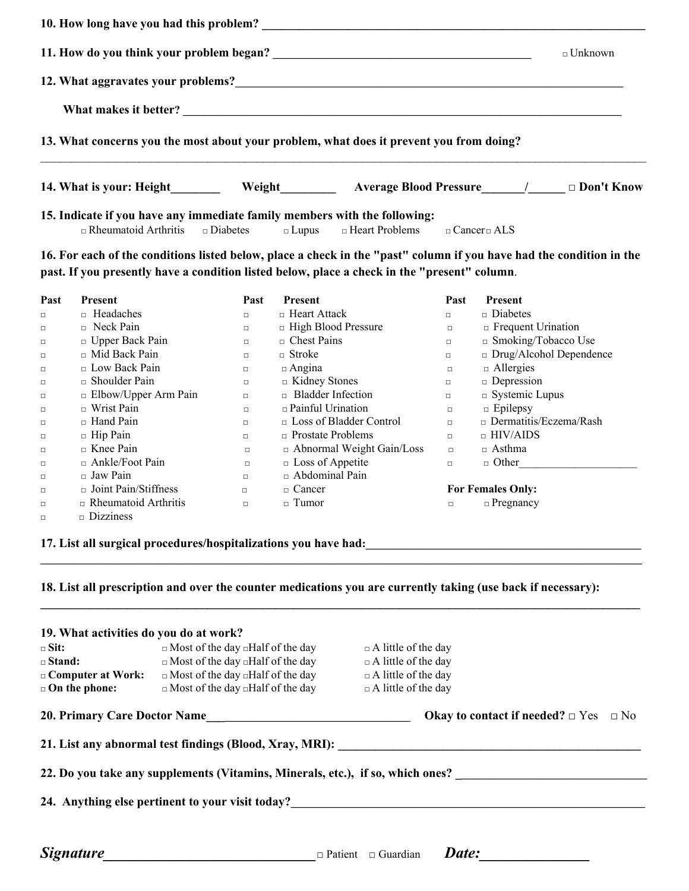|                                                                                                                                                                                                                                        | $\Box$ Unknown |
|----------------------------------------------------------------------------------------------------------------------------------------------------------------------------------------------------------------------------------------|----------------|
| 12. What aggravates your problems?<br><u> and the contract of the contract of the contract of the contract of the contract of the contract of the contract of the contract of the contract of the contract of the contract of the </u> |                |
|                                                                                                                                                                                                                                        |                |
| 13. What concerns you the most about your problem, what does it prevent you from doing?                                                                                                                                                |                |
| 14. What is your: Height <b>Solution Weight</b> Merray Average Blood Pressure 1 2000 it Know                                                                                                                                           |                |
| 15. Indicate if you have any immediate family members with the following:<br>$\Box$ Rheumatoid Arthritis $\Box$ Diabetes $\Box$ Lupus $\Box$ Heart Problems $\Box$ Cancer $\Box$ ALS                                                   |                |
| 16. For each of the conditions listed below, place a check in the "past" column if you have had the condition in the                                                                                                                   |                |

**past. If you presently have a condition listed below, place a check in the "present" column**.

| Past   | <b>Present</b>              | Past   | <b>Present</b>                   | Past   | <b>Present</b>                 |
|--------|-----------------------------|--------|----------------------------------|--------|--------------------------------|
| $\Box$ | $\Box$ Headaches            | $\Box$ | $\Box$ Heart Attack              | $\Box$ | $\Box$ Diabetes                |
| $\Box$ | $\Box$ Neck Pain            | $\Box$ | $\Box$ High Blood Pressure       | $\Box$ | $\Box$ Frequent Urination      |
| □      | $\Box$ Upper Back Pain      | $\Box$ | $\Box$ Chest Pains               | $\Box$ | $\Box$ Smoking/Tobacco Use     |
| $\Box$ | $\Box$ Mid Back Pain        | $\Box$ | $\Box$ Stroke                    | $\Box$ | $\Box$ Drug/Alcohol Dependence |
| $\Box$ | $\Box$ Low Back Pain        | $\Box$ | $\Box$ Angina                    | $\Box$ | $\Box$ Allergies               |
| $\Box$ | $\Box$ Shoulder Pain        | $\Box$ | $\Box$ Kidney Stones             | $\Box$ | $\Box$ Depression              |
| $\Box$ | $\Box$ Elbow/Upper Arm Pain | $\Box$ | $\Box$ Bladder Infection         | $\Box$ | $\square$ Systemic Lupus       |
| □      | $\Box$ Wrist Pain           | $\Box$ | $\Box$ Painful Urination         | $\Box$ | $\Box$ Epilepsy                |
| □      | $\Box$ Hand Pain            | п      | $\Box$ Loss of Bladder Control   | $\Box$ | $\Box$ Dermatitis/Eczema/Rash  |
| $\Box$ | $\Box$ Hip Pain             | $\Box$ | $\Box$ Prostate Problems         | $\Box$ | $\Box$ HIV/AIDS                |
| $\Box$ | $\Box$ Knee Pain            | $\Box$ | $\Box$ Abnormal Weight Gain/Loss | $\Box$ | $\Box$ Asthma                  |
| $\Box$ | $\Box$ Ankle/Foot Pain      | $\Box$ | $\Box$ Loss of Appetite          | $\Box$ | $\Box$ Other                   |
| $\Box$ | $\Box$ Jaw Pain             | п      | □ Abdominal Pain                 |        |                                |
| $\Box$ | $\Box$ Joint Pain/Stiffness | $\Box$ | $\Box$ Cancer                    |        | <b>For Females Only:</b>       |
| $\Box$ | $\Box$ Rheumatoid Arthritis | $\Box$ | $\Box$ Tumor                     | $\Box$ | $\Box$ Pregnancy               |
| □      | $\Box$ Dizziness            |        |                                  |        |                                |

**17. List all surgical procedures/hospitalizations you have had:\_\_\_\_\_\_\_\_\_\_\_\_\_\_\_\_\_\_\_\_\_\_\_\_\_\_\_\_\_\_\_\_\_\_\_\_\_\_\_\_\_\_\_\_\_\_\_\_\_**

18. List all prescription and over the counter medications you are currently taking (use back if necessary):

**\_\_\_\_\_\_\_\_\_\_\_\_\_\_\_\_\_\_\_\_\_\_\_\_\_\_\_\_\_\_\_\_\_\_\_\_\_\_\_\_\_\_\_\_\_\_\_\_\_\_\_\_\_\_\_\_\_\_\_\_\_\_\_\_\_\_\_\_\_\_\_\_\_\_\_\_\_\_\_\_\_\_\_\_\_\_\_\_\_\_\_\_\_\_\_\_\_**

| 19. What activities do you do at work? |                                                         |                                                                                |
|----------------------------------------|---------------------------------------------------------|--------------------------------------------------------------------------------|
| $\Box$ Sit:                            | $\Box$ Most of the day $\Box$ Half of the day           | $\Box$ A little of the day                                                     |
| $\square$ Stand:                       | $\Box$ Most of the day $\Box$ Half of the day           | $\Box$ A little of the day                                                     |
| $\Box$ Computer at Work:               | $\Box$ Most of the day $\Box$ Half of the day           | $\Box$ A little of the day                                                     |
| $\Box$ On the phone:                   | $\Box$ Most of the day $\Box$ Half of the day           | $\Box$ A little of the day                                                     |
|                                        | 20. Primary Care Doctor Name                            | Okay to contact if needed? $\Box$ Yes $\Box$ No                                |
|                                        | 21. List any abnormal test findings (Blood, Xray, MRI): |                                                                                |
|                                        |                                                         | 22. Do you take any supplements (Vitamins, Minerals, etc.), if so, which ones? |
|                                        | 24. Anything else pertinent to your visit today?        |                                                                                |
|                                        |                                                         |                                                                                |
| <i>Signature</i>                       |                                                         | Date:<br>$\Box$ Patient $\Box$ Guardian                                        |